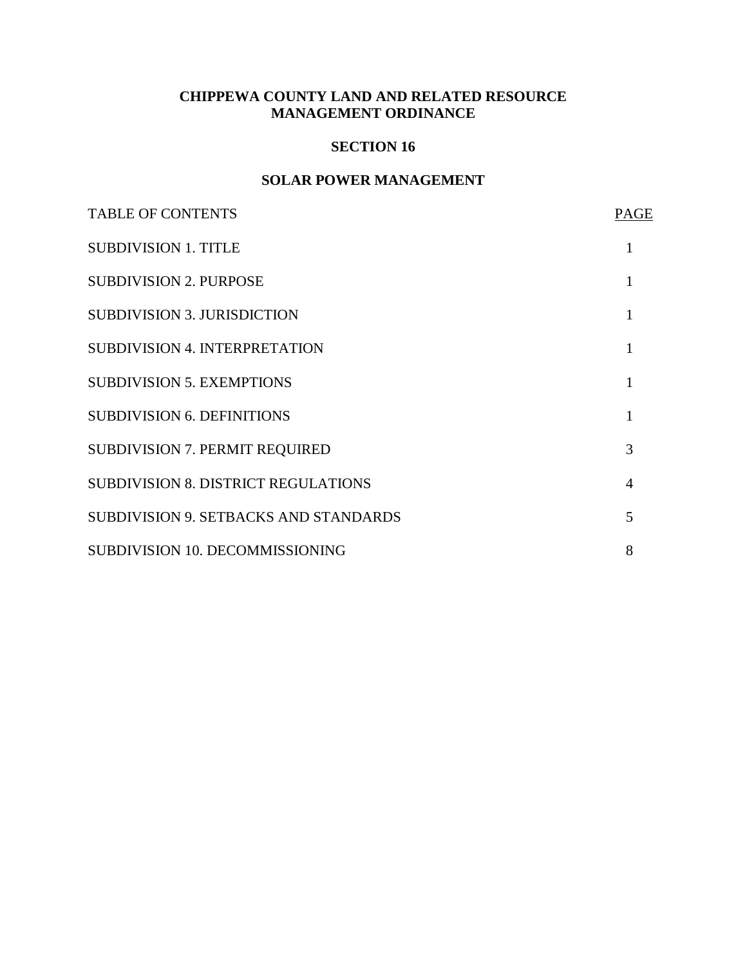## **CHIPPEWA COUNTY LAND AND RELATED RESOURCE MANAGEMENT ORDINANCE**

#### **SECTION 16**

## **SOLAR POWER MANAGEMENT**

| <b>TABLE OF CONTENTS</b>                     | <b>PAGE</b> |
|----------------------------------------------|-------------|
| <b>SUBDIVISION 1. TITLE</b>                  |             |
| <b>SUBDIVISION 2. PURPOSE</b>                |             |
| <b>SUBDIVISION 3. JURISDICTION</b>           |             |
| <b>SUBDIVISION 4. INTERPRETATION</b>         |             |
| <b>SUBDIVISION 5. EXEMPTIONS</b>             |             |
| <b>SUBDIVISION 6. DEFINITIONS</b>            |             |
| <b>SUBDIVISION 7. PERMIT REQUIRED</b>        | 3           |
| <b>SUBDIVISION 8. DISTRICT REGULATIONS</b>   | 4           |
| <b>SUBDIVISION 9. SETBACKS AND STANDARDS</b> | 5           |
| SUBDIVISION 10. DECOMMISSIONING              | 8           |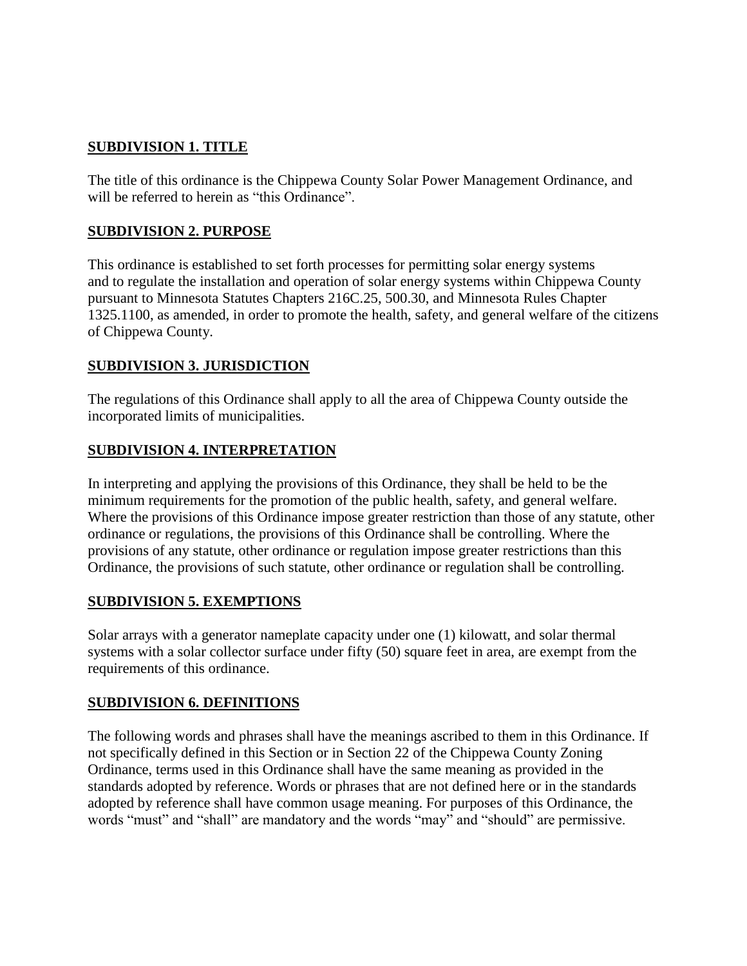## **SUBDIVISION 1. TITLE**

The title of this ordinance is the Chippewa County Solar Power Management Ordinance, and will be referred to herein as "this Ordinance".

#### **SUBDIVISION 2. PURPOSE**

This ordinance is established to set forth processes for permitting solar energy systems and to regulate the installation and operation of solar energy systems within Chippewa County pursuant to Minnesota Statutes Chapters 216C.25, 500.30, and Minnesota Rules Chapter 1325.1100, as amended, in order to promote the health, safety, and general welfare of the citizens of Chippewa County.

## **SUBDIVISION 3. JURISDICTION**

The regulations of this Ordinance shall apply to all the area of Chippewa County outside the incorporated limits of municipalities.

## **SUBDIVISION 4. INTERPRETATION**

In interpreting and applying the provisions of this Ordinance, they shall be held to be the minimum requirements for the promotion of the public health, safety, and general welfare. Where the provisions of this Ordinance impose greater restriction than those of any statute, other ordinance or regulations, the provisions of this Ordinance shall be controlling. Where the provisions of any statute, other ordinance or regulation impose greater restrictions than this Ordinance, the provisions of such statute, other ordinance or regulation shall be controlling.

#### **SUBDIVISION 5. EXEMPTIONS**

Solar arrays with a generator nameplate capacity under one (1) kilowatt, and solar thermal systems with a solar collector surface under fifty (50) square feet in area, are exempt from the requirements of this ordinance.

#### **SUBDIVISION 6. DEFINITIONS**

The following words and phrases shall have the meanings ascribed to them in this Ordinance. If not specifically defined in this Section or in Section 22 of the Chippewa County Zoning Ordinance, terms used in this Ordinance shall have the same meaning as provided in the standards adopted by reference. Words or phrases that are not defined here or in the standards adopted by reference shall have common usage meaning. For purposes of this Ordinance, the words "must" and "shall" are mandatory and the words "may" and "should" are permissive.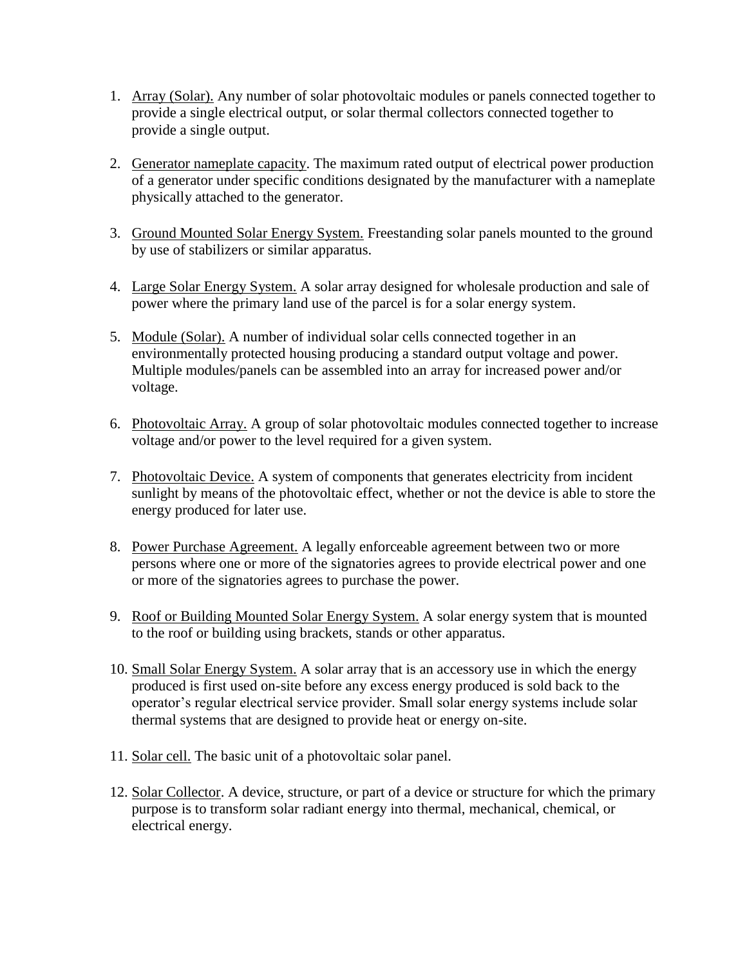- 1. Array (Solar). Any number of solar photovoltaic modules or panels connected together to provide a single electrical output, or solar thermal collectors connected together to provide a single output.
- 2. Generator nameplate capacity. The maximum rated output of electrical power production of a generator under specific conditions designated by the manufacturer with a nameplate physically attached to the generator.
- 3. Ground Mounted Solar Energy System. Freestanding solar panels mounted to the ground by use of stabilizers or similar apparatus.
- 4. Large Solar Energy System. A solar array designed for wholesale production and sale of power where the primary land use of the parcel is for a solar energy system.
- 5. Module (Solar). A number of individual solar cells connected together in an environmentally protected housing producing a standard output voltage and power. Multiple modules/panels can be assembled into an array for increased power and/or voltage.
- 6. Photovoltaic Array. A group of solar photovoltaic modules connected together to increase voltage and/or power to the level required for a given system.
- 7. Photovoltaic Device. A system of components that generates electricity from incident sunlight by means of the photovoltaic effect, whether or not the device is able to store the energy produced for later use.
- 8. Power Purchase Agreement. A legally enforceable agreement between two or more persons where one or more of the signatories agrees to provide electrical power and one or more of the signatories agrees to purchase the power.
- 9. Roof or Building Mounted Solar Energy System. A solar energy system that is mounted to the roof or building using brackets, stands or other apparatus.
- 10. Small Solar Energy System. A solar array that is an accessory use in which the energy produced is first used on-site before any excess energy produced is sold back to the operator's regular electrical service provider. Small solar energy systems include solar thermal systems that are designed to provide heat or energy on-site.
- 11. Solar cell. The basic unit of a photovoltaic solar panel.
- 12. Solar Collector. A device, structure, or part of a device or structure for which the primary purpose is to transform solar radiant energy into thermal, mechanical, chemical, or electrical energy.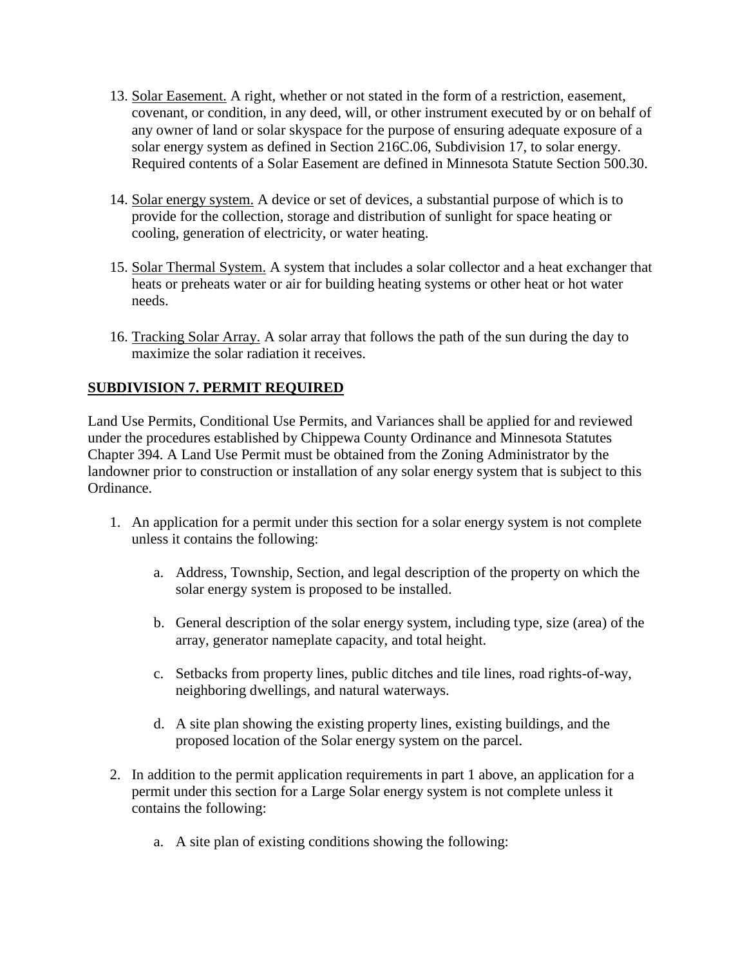- 13. Solar Easement. A right, whether or not stated in the form of a restriction, easement, covenant, or condition, in any deed, will, or other instrument executed by or on behalf of any owner of land or solar skyspace for the purpose of ensuring adequate exposure of a solar energy system as defined in Section 216C.06, Subdivision 17, to solar energy. Required contents of a Solar Easement are defined in Minnesota Statute Section 500.30.
- 14. Solar energy system. A device or set of devices, a substantial purpose of which is to provide for the collection, storage and distribution of sunlight for space heating or cooling, generation of electricity, or water heating.
- 15. Solar Thermal System. A system that includes a solar collector and a heat exchanger that heats or preheats water or air for building heating systems or other heat or hot water needs.
- 16. Tracking Solar Array. A solar array that follows the path of the sun during the day to maximize the solar radiation it receives.

## **SUBDIVISION 7. PERMIT REQUIRED**

Land Use Permits, Conditional Use Permits, and Variances shall be applied for and reviewed under the procedures established by Chippewa County Ordinance and Minnesota Statutes Chapter 394. A Land Use Permit must be obtained from the Zoning Administrator by the landowner prior to construction or installation of any solar energy system that is subject to this Ordinance.

- 1. An application for a permit under this section for a solar energy system is not complete unless it contains the following:
	- a. Address, Township, Section, and legal description of the property on which the solar energy system is proposed to be installed.
	- b. General description of the solar energy system, including type, size (area) of the array, generator nameplate capacity, and total height.
	- c. Setbacks from property lines, public ditches and tile lines, road rights-of-way, neighboring dwellings, and natural waterways.
	- d. A site plan showing the existing property lines, existing buildings, and the proposed location of the Solar energy system on the parcel.
- 2. In addition to the permit application requirements in part 1 above, an application for a permit under this section for a Large Solar energy system is not complete unless it contains the following:
	- a. A site plan of existing conditions showing the following: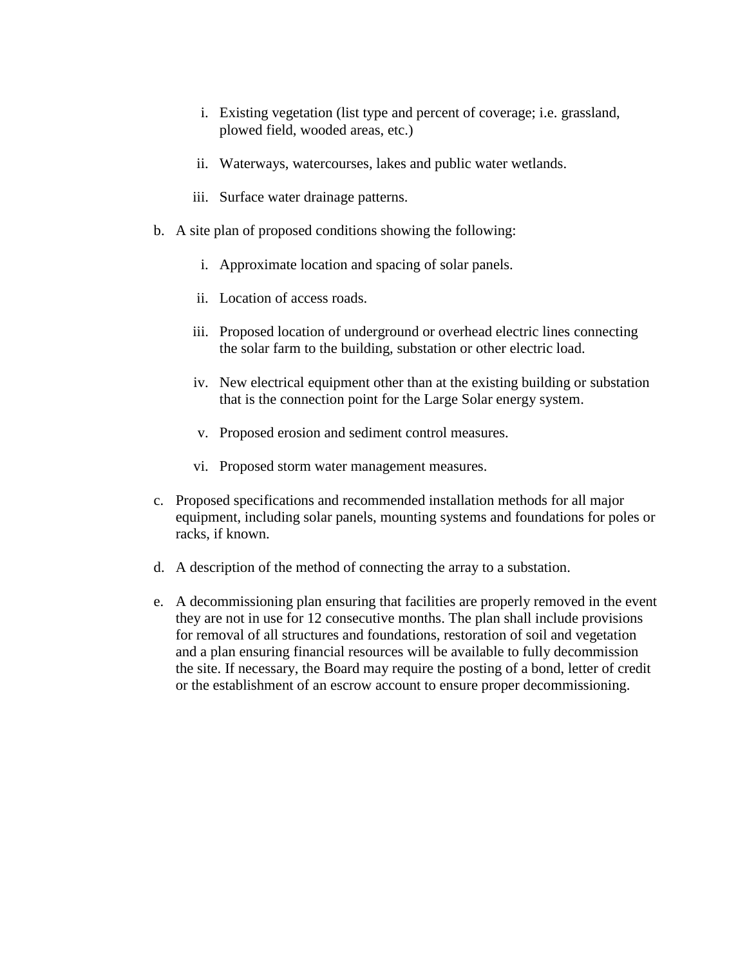- i. Existing vegetation (list type and percent of coverage; i.e. grassland, plowed field, wooded areas, etc.)
- ii. Waterways, watercourses, lakes and public water wetlands.
- iii. Surface water drainage patterns.
- b. A site plan of proposed conditions showing the following:
	- i. Approximate location and spacing of solar panels.
	- ii. Location of access roads.
	- iii. Proposed location of underground or overhead electric lines connecting the solar farm to the building, substation or other electric load.
	- iv. New electrical equipment other than at the existing building or substation that is the connection point for the Large Solar energy system.
	- v. Proposed erosion and sediment control measures.
	- vi. Proposed storm water management measures.
- c. Proposed specifications and recommended installation methods for all major equipment, including solar panels, mounting systems and foundations for poles or racks, if known.
- d. A description of the method of connecting the array to a substation.
- e. A decommissioning plan ensuring that facilities are properly removed in the event they are not in use for 12 consecutive months. The plan shall include provisions for removal of all structures and foundations, restoration of soil and vegetation and a plan ensuring financial resources will be available to fully decommission the site. If necessary, the Board may require the posting of a bond, letter of credit or the establishment of an escrow account to ensure proper decommissioning.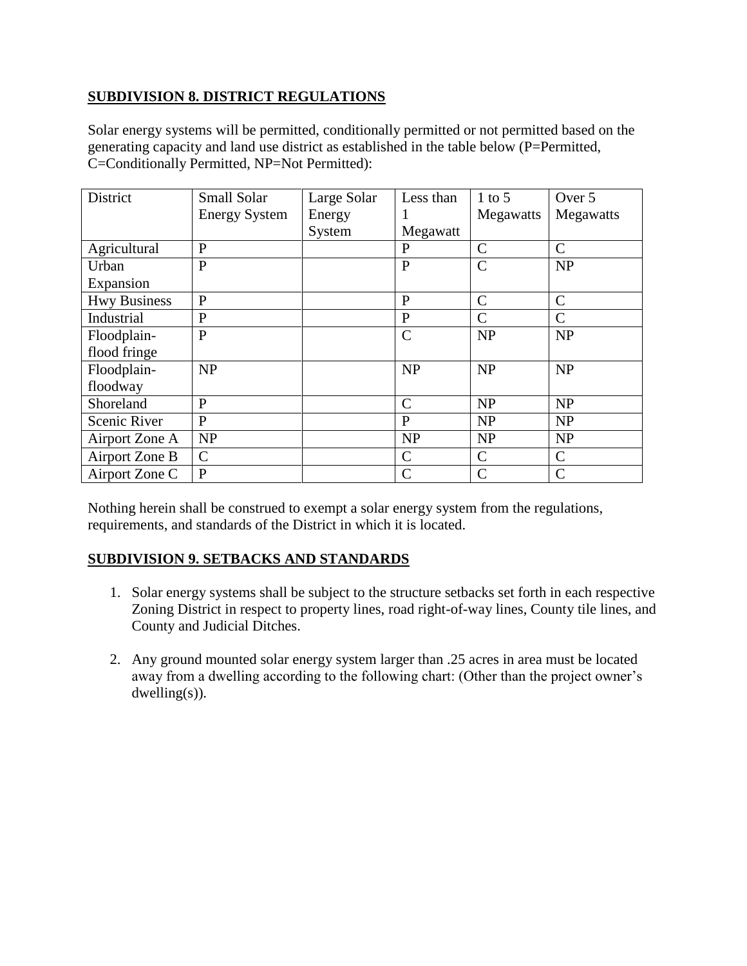## **SUBDIVISION 8. DISTRICT REGULATIONS**

Solar energy systems will be permitted, conditionally permitted or not permitted based on the generating capacity and land use district as established in the table below (P=Permitted, C=Conditionally Permitted, NP=Not Permitted):

| District            | Small Solar          | Large Solar | Less than     | $1$ to 5      | Over 5        |
|---------------------|----------------------|-------------|---------------|---------------|---------------|
|                     | <b>Energy System</b> | Energy      |               | Megawatts     | Megawatts     |
|                     |                      | System      | Megawatt      |               |               |
| Agricultural        | $\mathbf{P}$         |             | P             | $\mathcal{C}$ | $\mathcal{C}$ |
| Urban               | $\mathbf{P}$         |             | $\mathbf{P}$  | $\mathcal{C}$ | <b>NP</b>     |
| Expansion           |                      |             |               |               |               |
| <b>Hwy Business</b> | $\mathbf{P}$         |             | P             | $\mathcal{C}$ | $\mathcal{C}$ |
| Industrial          | $\mathbf{P}$         |             | $\mathbf{P}$  | C             | $\mathcal{C}$ |
| Floodplain-         | $\mathbf{P}$         |             | $\mathcal{C}$ | <b>NP</b>     | <b>NP</b>     |
| flood fringe        |                      |             |               |               |               |
| Floodplain-         | <b>NP</b>            |             | NP            | <b>NP</b>     | <b>NP</b>     |
| floodway            |                      |             |               |               |               |
| Shoreland           | $\mathbf{P}$         |             | $\mathcal{C}$ | <b>NP</b>     | <b>NP</b>     |
| Scenic River        | P                    |             | P             | <b>NP</b>     | <b>NP</b>     |
| Airport Zone A      | <b>NP</b>            |             | <b>NP</b>     | <b>NP</b>     | <b>NP</b>     |
| Airport Zone B      | $\mathcal{C}$        |             | $\mathcal{C}$ | $\mathcal{C}$ | $\mathsf{C}$  |
| Airport Zone C      | $\mathbf{P}$         |             | $\mathcal{C}$ | $\mathcal{C}$ | $\mathcal{C}$ |

Nothing herein shall be construed to exempt a solar energy system from the regulations, requirements, and standards of the District in which it is located.

## **SUBDIVISION 9. SETBACKS AND STANDARDS**

- 1. Solar energy systems shall be subject to the structure setbacks set forth in each respective Zoning District in respect to property lines, road right-of-way lines, County tile lines, and County and Judicial Ditches.
- 2. Any ground mounted solar energy system larger than .25 acres in area must be located away from a dwelling according to the following chart: (Other than the project owner's dwelling(s)).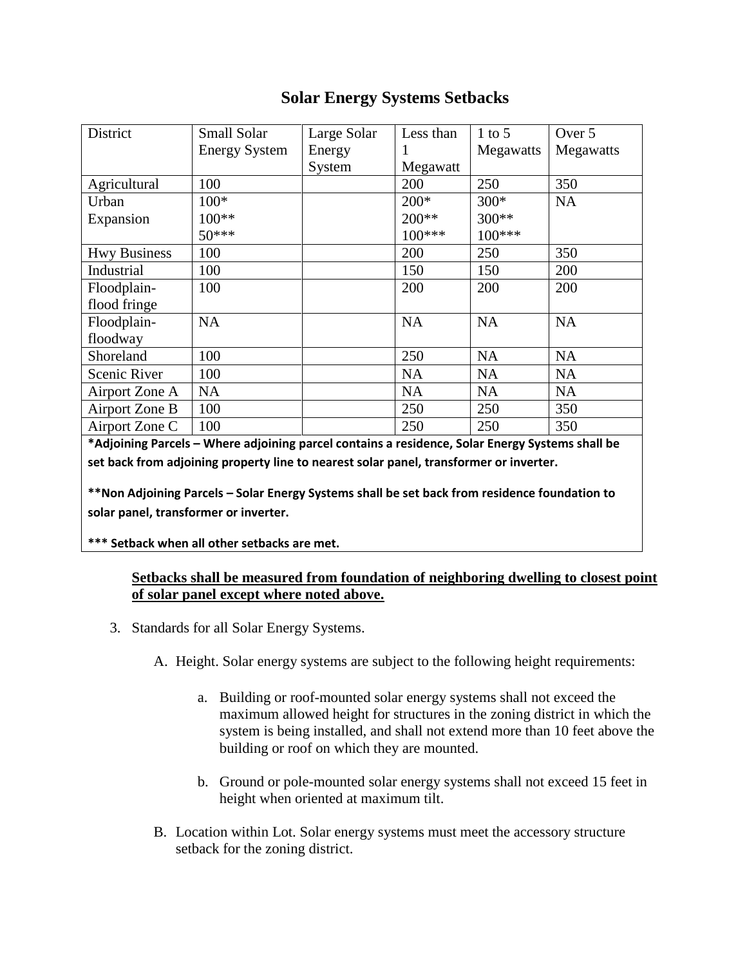# **Solar Energy Systems Setbacks**

| District            | Small Solar          | Large Solar | Less than | $1$ to 5  | Over 5    |
|---------------------|----------------------|-------------|-----------|-----------|-----------|
|                     | <b>Energy System</b> | Energy      |           | Megawatts | Megawatts |
|                     |                      | System      | Megawatt  |           |           |
| Agricultural        | 100                  |             | 200       | 250       | 350       |
| Urban               | $100*$               |             | $200*$    | $300*$    | <b>NA</b> |
| Expansion           | $100**$              |             | 200**     | 300**     |           |
|                     | $50***$              |             | $100***$  | $100***$  |           |
| <b>Hwy Business</b> | 100                  |             | 200       | 250       | 350       |
| Industrial          | 100                  |             | 150       | 150       | 200       |
| Floodplain-         | 100                  |             | 200       | 200       | 200       |
| flood fringe        |                      |             |           |           |           |
| Floodplain-         | <b>NA</b>            |             | <b>NA</b> | <b>NA</b> | <b>NA</b> |
| floodway            |                      |             |           |           |           |
| Shoreland           | 100                  |             | 250       | <b>NA</b> | <b>NA</b> |
| Scenic River        | 100                  |             | <b>NA</b> | <b>NA</b> | NA        |
| Airport Zone A      | <b>NA</b>            |             | <b>NA</b> | <b>NA</b> | <b>NA</b> |
| Airport Zone B      | 100                  |             | 250       | 250       | 350       |
| Airport Zone C      | 100                  |             | 250       | 250       | 350       |

**\*Adjoining Parcels – Where adjoining parcel contains a residence, Solar Energy Systems shall be set back from adjoining property line to nearest solar panel, transformer or inverter.** 

**\*\*Non Adjoining Parcels – Solar Energy Systems shall be set back from residence foundation to solar panel, transformer or inverter.**

**\*\*\* Setback when all other setbacks are met.**

#### **Setbacks shall be measured from foundation of neighboring dwelling to closest point of solar panel except where noted above.**

- 3. Standards for all Solar Energy Systems.
	- A. Height. Solar energy systems are subject to the following height requirements:
		- a. Building or roof-mounted solar energy systems shall not exceed the maximum allowed height for structures in the zoning district in which the system is being installed, and shall not extend more than 10 feet above the building or roof on which they are mounted.
		- b. Ground or pole-mounted solar energy systems shall not exceed 15 feet in height when oriented at maximum tilt.
	- B. Location within Lot. Solar energy systems must meet the accessory structure setback for the zoning district.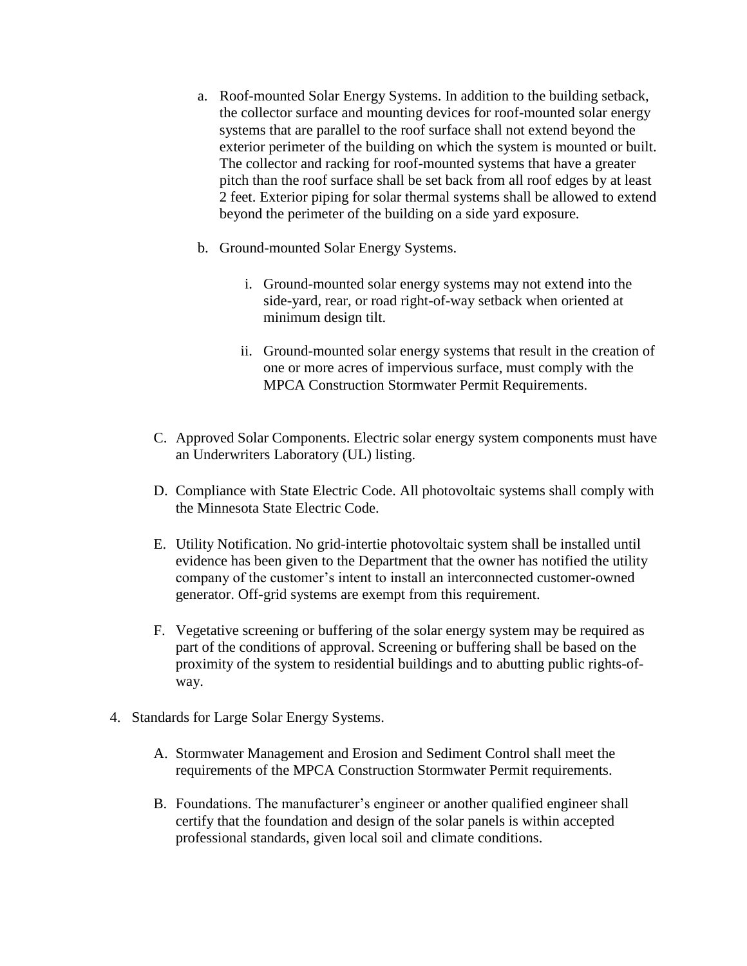- a. Roof-mounted Solar Energy Systems. In addition to the building setback, the collector surface and mounting devices for roof-mounted solar energy systems that are parallel to the roof surface shall not extend beyond the exterior perimeter of the building on which the system is mounted or built. The collector and racking for roof-mounted systems that have a greater pitch than the roof surface shall be set back from all roof edges by at least 2 feet. Exterior piping for solar thermal systems shall be allowed to extend beyond the perimeter of the building on a side yard exposure.
- b. Ground-mounted Solar Energy Systems.
	- i. Ground-mounted solar energy systems may not extend into the side-yard, rear, or road right-of-way setback when oriented at minimum design tilt.
	- ii. Ground-mounted solar energy systems that result in the creation of one or more acres of impervious surface, must comply with the MPCA Construction Stormwater Permit Requirements.
- C. Approved Solar Components. Electric solar energy system components must have an Underwriters Laboratory (UL) listing.
- D. Compliance with State Electric Code. All photovoltaic systems shall comply with the Minnesota State Electric Code.
- E. Utility Notification. No grid-intertie photovoltaic system shall be installed until evidence has been given to the Department that the owner has notified the utility company of the customer's intent to install an interconnected customer-owned generator. Off-grid systems are exempt from this requirement.
- F. Vegetative screening or buffering of the solar energy system may be required as part of the conditions of approval. Screening or buffering shall be based on the proximity of the system to residential buildings and to abutting public rights-ofway.
- 4. Standards for Large Solar Energy Systems.
	- A. Stormwater Management and Erosion and Sediment Control shall meet the requirements of the MPCA Construction Stormwater Permit requirements.
	- B. Foundations. The manufacturer's engineer or another qualified engineer shall certify that the foundation and design of the solar panels is within accepted professional standards, given local soil and climate conditions.